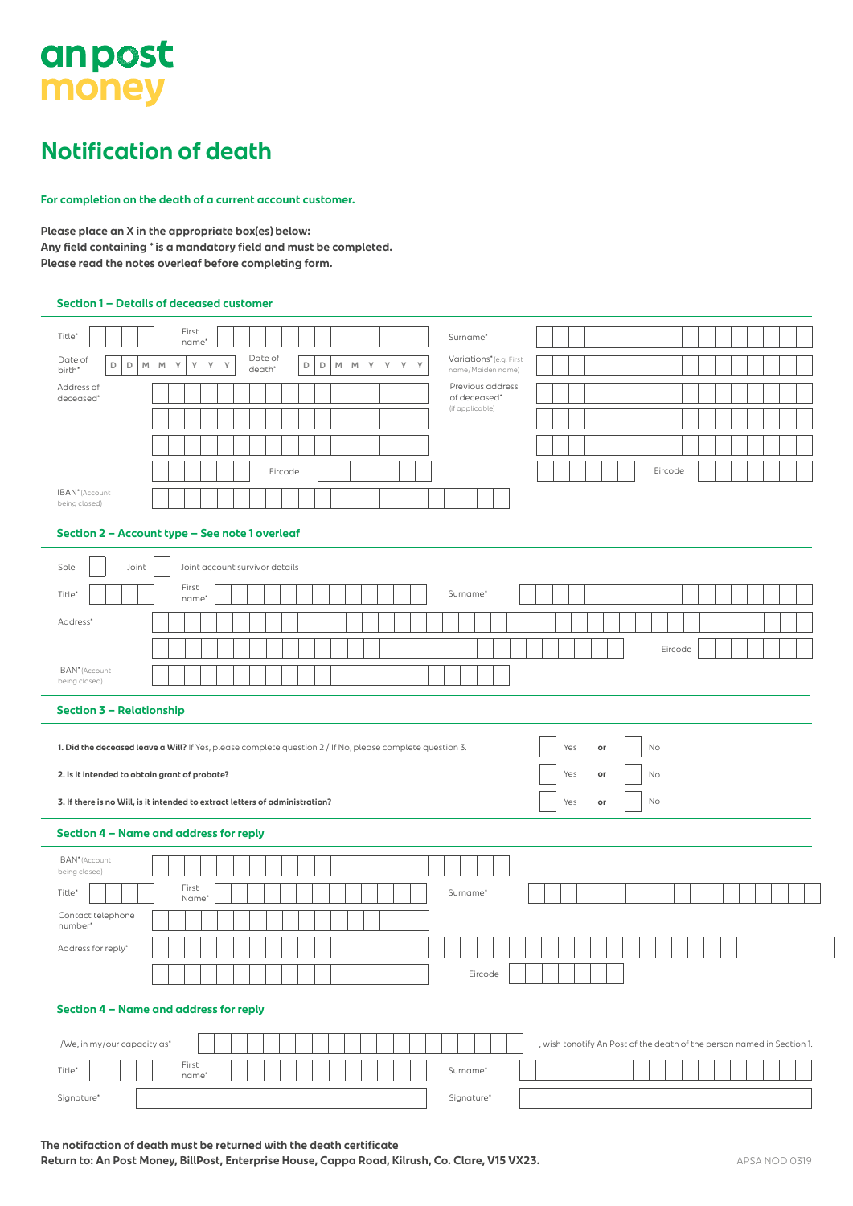# anpost money

### **Notification of death**

**For completion on the death of a current account customer.**

**Please place an X in the appropriate box(es) below: Any field containing \* is a mandatory field and must be completed. Please read the notes overleaf before completing form.**

|                                                      | Section 1 - Details of deceased customer                                                                                              |                                                                        |
|------------------------------------------------------|---------------------------------------------------------------------------------------------------------------------------------------|------------------------------------------------------------------------|
| Title*                                               | First<br>name <sup>®</sup>                                                                                                            | Surname*                                                               |
| Date of<br>D<br>$\mathsf D$<br>$\mathbb M$<br>birth* | Date of<br>Υ<br>Y<br>γ<br>Υ<br>$\mathsf D$<br>$\mathsf D$<br>$\mathbb{M}$<br>γ<br>γ<br>γ<br>Υ<br>$\mathbb M$<br>$\mathbb M$<br>death* | Variations* (e.g. First<br>name/Maiden name)                           |
| Address of<br>deceased*                              |                                                                                                                                       | Previous address<br>of deceased*                                       |
|                                                      |                                                                                                                                       | (if applicable)                                                        |
|                                                      |                                                                                                                                       |                                                                        |
|                                                      | Eircode                                                                                                                               | Eircode                                                                |
| IBAN <sup>*</sup> (Account                           |                                                                                                                                       |                                                                        |
| being closed)                                        |                                                                                                                                       |                                                                        |
|                                                      | Section 2 - Account type - See note 1 overleaf                                                                                        |                                                                        |
| Sole<br>Joint                                        | Joint account survivor details                                                                                                        |                                                                        |
| Title <sup>*</sup>                                   | First<br>name*                                                                                                                        | Surname*                                                               |
| Address*                                             |                                                                                                                                       |                                                                        |
|                                                      |                                                                                                                                       | Eircode                                                                |
| IBAN <sup>*</sup> (Account                           |                                                                                                                                       |                                                                        |
| being closed)                                        |                                                                                                                                       |                                                                        |
| <b>Section 3 - Relationship</b>                      |                                                                                                                                       |                                                                        |
|                                                      | 1. Did the deceased leave a Will? If Yes, please complete question 2 / If No, please complete question 3.                             | Yes<br>No<br>or                                                        |
| 2. Is it intended to obtain grant of probate?        |                                                                                                                                       | Yes<br>No<br>or                                                        |
|                                                      | 3. If there is no Will, is it intended to extract letters of administration?                                                          | No<br>Yes<br>or                                                        |
|                                                      |                                                                                                                                       |                                                                        |
|                                                      | Section 4 - Name and address for reply                                                                                                |                                                                        |
| IBAN <sup>*</sup> (Account<br>being closed)          |                                                                                                                                       |                                                                        |
|                                                      |                                                                                                                                       |                                                                        |
| Title*                                               | First<br>Name*                                                                                                                        | Surname*                                                               |
| Contact telephone<br>number*                         |                                                                                                                                       |                                                                        |
| Address for reply*                                   |                                                                                                                                       |                                                                        |
|                                                      |                                                                                                                                       | Eircode                                                                |
|                                                      |                                                                                                                                       |                                                                        |
|                                                      | Section 4 - Name and address for reply                                                                                                |                                                                        |
| I/We, in my/our capacity as*                         |                                                                                                                                       | , wish tonotify An Post of the death of the person named in Section 1. |
| Title*                                               | First<br>name*                                                                                                                        | Surname*                                                               |

Return to: An Post Money, BillPost, Enterprise House, Cappa Road, Kilrush, Co. Clare, V15 VX23. A ADSA NOD 0319